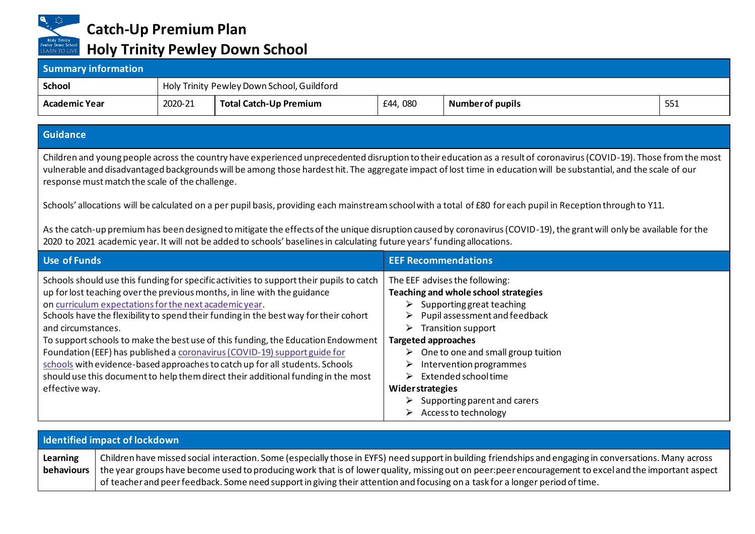

**Catch-Up Premium Plan**

## **Holy Trinity Pewley Down School**

| <b>Summary information</b> |                                            |                        |         |                         |     |
|----------------------------|--------------------------------------------|------------------------|---------|-------------------------|-----|
| <b>School</b>              | Holy Trinity Pewley Down School, Guildford |                        |         |                         |     |
| <b>Academic Year</b>       | 2020-21                                    | Total Catch-Up Premium | £44,080 | <b>Number of pupils</b> | 551 |

## **Guidance**

Children and young people across the country have experienced unprecedented disruption to their education as a result of coronavirus (COVID-19). Those from the most vulnerable and disadvantaged backgrounds will be among those hardest hit. The aggregate impact of lost time in education will be substantial, and the scale of our response must match the scale of the challenge.

Schools' allocations will be calculated on a per pupil basis, providing each mainstream school with a total of £80 for each pupil in Reception through to Y11.

As the catch-up premium has been designed to mitigate the effects of the unique disruption caused by coronavirus (COVID-19), the grant will only be available for the 2020 to 2021 academic year. It will not be added to schools' baselines in calculating future years' funding allocations.

| Use of Funds                                                                                                                                                                                                                                                                                                                                             | <b>EEF Recommendations</b>                                                                                                                                           |
|----------------------------------------------------------------------------------------------------------------------------------------------------------------------------------------------------------------------------------------------------------------------------------------------------------------------------------------------------------|----------------------------------------------------------------------------------------------------------------------------------------------------------------------|
| Schools should use this funding for specific activities to support their pupils to catch<br>up for lost teaching over the previous months, in line with the guidance<br>on curriculum expectations for the next academic year.<br>Schools have the flexibility to spend their funding in the best way for their cohort                                   | The EEF advises the following:<br>Teaching and whole school strategies<br>Supporting great teaching<br>Pupil assessment and feedback<br>➤                            |
| and circumstances.<br>To support schools to make the best use of this funding, the Education Endowment<br>Foundation (EEF) has published a coronavirus (COVID-19) support guide for<br>schools with evidence-based approaches to catch up for all students. Schools<br>should use this document to help them direct their additional funding in the most | <b>Transition support</b><br>➤<br><b>Targeted approaches</b><br>One to one and small group tuition<br>➤<br>Intervention programmes<br>➤<br>Extended school time<br>➤ |
| effective way.                                                                                                                                                                                                                                                                                                                                           | <b>Widerstrategies</b><br>Supporting parent and carers<br>Access to technology<br>➤                                                                                  |

| <b>Identified impact of lockdown</b> |                                                                                                                                                                                                                                                                                                                                                                                                                                                    |  |  |
|--------------------------------------|----------------------------------------------------------------------------------------------------------------------------------------------------------------------------------------------------------------------------------------------------------------------------------------------------------------------------------------------------------------------------------------------------------------------------------------------------|--|--|
| Learning<br>behaviours               | Children have missed social interaction. Some (especially those in EYFS) need support in building friendships and engaging in conversations. Many across<br>the year groups have become used to producing work that is of lower quality, missing out on peer:peer encouragement to excel and the important aspect<br>of teacher and peer feedback. Some need support in giving their attention and focusing on a task for a longer period of time. |  |  |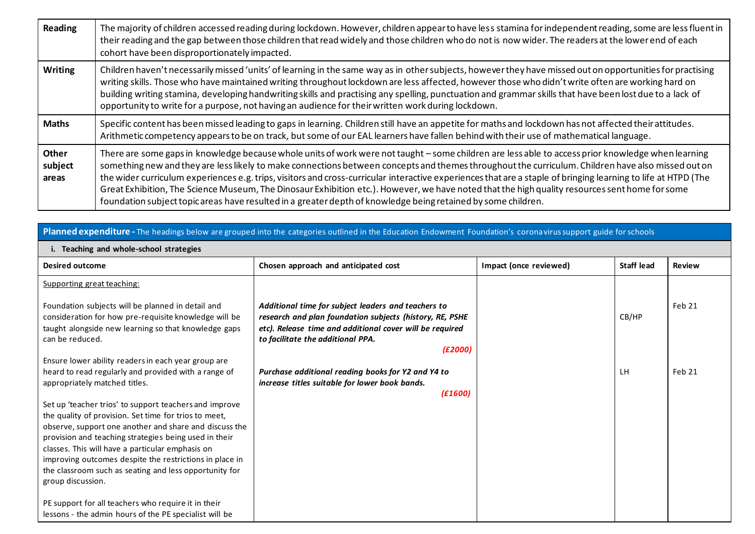| Reading                          | The majority of children accessed reading during lockdown. However, children appear to have less stamina for independent reading, some are less fluent in<br>their reading and the gap between those children that read widely and those children who do not is now wider. The readers at the lower end of each<br>cohort have been disproportionately impacted.                                                                                                                                                                                                                                                                                                                                                                              |
|----------------------------------|-----------------------------------------------------------------------------------------------------------------------------------------------------------------------------------------------------------------------------------------------------------------------------------------------------------------------------------------------------------------------------------------------------------------------------------------------------------------------------------------------------------------------------------------------------------------------------------------------------------------------------------------------------------------------------------------------------------------------------------------------|
| <b>Writing</b>                   | Children haven't necessarily missed 'units' of learning in the same way as in other subjects, however they have missed out on opportunities for practising<br>writing skills. Those who have maintained writing throughout lockdown are less affected, however those who didn't write often are working hard on<br>building writing stamina, developing handwriting skills and practising any spelling, punctuation and grammar skills that have been lost due to a lack of<br>opportunity to write for a purpose, not having an audience for their written work during lockdown.                                                                                                                                                             |
| <b>Maths</b>                     | Specific content has been missed leading to gaps in learning. Children still have an appetite for maths and lockdown has not affected their attitudes.<br>Arithmetic competency appears to be on track, but some of our EAL learners have fallen behind with their use of mathematical language.                                                                                                                                                                                                                                                                                                                                                                                                                                              |
| <b>Other</b><br>subject<br>areas | There are some gaps in knowledge because whole units of work were not taught - some children are less able to access prior knowledge when learning<br>something new and they are less likely to make connections between concepts and themes throughout the curriculum. Children have also missed out on<br>the wider curriculum experiences e.g. trips, visitors and cross-curricular interactive experiences that are a staple of bringing learning to life at HTPD (The<br>Great Exhibition, The Science Museum, The Dinosaur Exhibition etc.). However, we have noted that the high quality resources sent home for some<br>foundation subject topic areas have resulted in a greater depth of knowledge being retained by some children. |

| Planned expenditure - The headings below are grouped into the categories outlined in the Education Endowment Foundation's coronavirus support guide for schools                                                                                                                                                                                                                                                                  |                                                                                                                                                                                                                             |                        |                   |               |  |  |
|----------------------------------------------------------------------------------------------------------------------------------------------------------------------------------------------------------------------------------------------------------------------------------------------------------------------------------------------------------------------------------------------------------------------------------|-----------------------------------------------------------------------------------------------------------------------------------------------------------------------------------------------------------------------------|------------------------|-------------------|---------------|--|--|
| i. Teaching and whole-school strategies                                                                                                                                                                                                                                                                                                                                                                                          |                                                                                                                                                                                                                             |                        |                   |               |  |  |
| <b>Desired outcome</b>                                                                                                                                                                                                                                                                                                                                                                                                           | Chosen approach and anticipated cost                                                                                                                                                                                        | Impact (once reviewed) | <b>Staff lead</b> | <b>Review</b> |  |  |
| Supporting great teaching:                                                                                                                                                                                                                                                                                                                                                                                                       |                                                                                                                                                                                                                             |                        |                   |               |  |  |
| Foundation subjects will be planned in detail and<br>consideration for how pre-requisite knowledge will be<br>taught alongside new learning so that knowledge gaps<br>can be reduced.                                                                                                                                                                                                                                            | Additional time for subject leaders and teachers to<br>research and plan foundation subjects (history, RE, PSHE<br>etc). Release time and additional cover will be required<br>to facilitate the additional PPA.<br>(E2000) |                        | CB/HP             | Feb 21        |  |  |
| Ensure lower ability readers in each year group are                                                                                                                                                                                                                                                                                                                                                                              |                                                                                                                                                                                                                             |                        |                   |               |  |  |
| heard to read regularly and provided with a range of<br>appropriately matched titles.                                                                                                                                                                                                                                                                                                                                            | Purchase additional reading books for Y2 and Y4 to<br>increase titles suitable for lower book bands.                                                                                                                        |                        | LH                | Feb 21        |  |  |
|                                                                                                                                                                                                                                                                                                                                                                                                                                  | (E1600)                                                                                                                                                                                                                     |                        |                   |               |  |  |
| Set up 'teacher trios' to support teachers and improve<br>the quality of provision. Set time for trios to meet.<br>observe, support one another and share and discuss the<br>provision and teaching strategies being used in their<br>classes. This will have a particular emphasis on<br>improving outcomes despite the restrictions in place in<br>the classroom such as seating and less opportunity for<br>group discussion. |                                                                                                                                                                                                                             |                        |                   |               |  |  |
| PE support for all teachers who require it in their<br>lessons - the admin hours of the PE specialist will be                                                                                                                                                                                                                                                                                                                    |                                                                                                                                                                                                                             |                        |                   |               |  |  |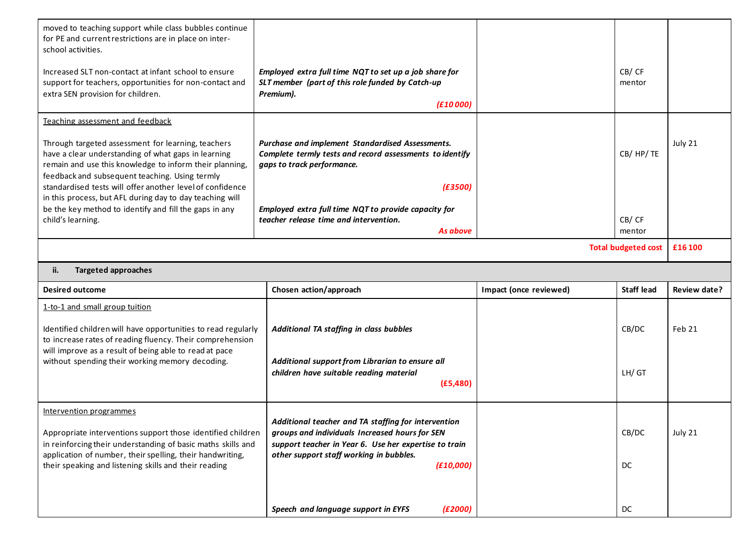| moved to teaching support while class bubbles continue<br>for PE and current restrictions are in place on inter-<br>school activities.                                                                                 |                                                                                                                                                                |                        |                   |              |  |
|------------------------------------------------------------------------------------------------------------------------------------------------------------------------------------------------------------------------|----------------------------------------------------------------------------------------------------------------------------------------------------------------|------------------------|-------------------|--------------|--|
| Increased SLT non-contact at infant school to ensure<br>support for teachers, opportunities for non-contact and<br>extra SEN provision for children.                                                                   | Employed extra full time NQT to set up a job share for<br>SLT member (part of this role funded by Catch-up<br>Premium).<br>(f10000)                            |                        | CB/CF<br>mentor   |              |  |
| Teaching assessment and feedback                                                                                                                                                                                       |                                                                                                                                                                |                        |                   |              |  |
| Through targeted assessment for learning, teachers<br>have a clear understanding of what gaps in learning<br>remain and use this knowledge to inform their planning,<br>feedback and subsequent teaching. Using termly | Purchase and implement Standardised Assessments.<br>Complete termly tests and record assessments to identify<br>gaps to track performance.                     |                        | CB/HP/TE          | July 21      |  |
| standardised tests will offer another level of confidence                                                                                                                                                              | (E3500)                                                                                                                                                        |                        |                   |              |  |
| in this process, but AFL during day to day teaching will<br>be the key method to identify and fill the gaps in any<br>child's learning.                                                                                | Employed extra full time NQT to provide capacity for<br>teacher release time and intervention.<br>As above                                                     |                        | CB/CF<br>mentor   |              |  |
| <b>Total budgeted cost</b><br>£16 100                                                                                                                                                                                  |                                                                                                                                                                |                        |                   |              |  |
| <b>Targeted approaches</b><br>ii.                                                                                                                                                                                      |                                                                                                                                                                |                        |                   |              |  |
|                                                                                                                                                                                                                        |                                                                                                                                                                |                        |                   |              |  |
| <b>Desired outcome</b>                                                                                                                                                                                                 | Chosen action/approach                                                                                                                                         | Impact (once reviewed) | <b>Staff lead</b> | Review date? |  |
| 1-to-1 and small group tuition                                                                                                                                                                                         |                                                                                                                                                                |                        |                   |              |  |
| Identified children will have opportunities to read regularly<br>to increase rates of reading fluency. Their comprehension                                                                                             | Additional TA staffing in class bubbles                                                                                                                        |                        | CB/DC             | Feb 21       |  |
| will improve as a result of being able to read at pace<br>without spending their working memory decoding.                                                                                                              | Additional support from Librarian to ensure all<br>children have suitable reading material<br>(E5, 480)                                                        |                        | LH/GT             |              |  |
| Intervention programmes                                                                                                                                                                                                |                                                                                                                                                                |                        |                   |              |  |
| Appropriate interventions support those identified children<br>in reinforcing their understanding of basic maths skills and                                                                                            | Additional teacher and TA staffing for intervention<br>groups and individuals Increased hours for SEN<br>support teacher in Year 6. Use her expertise to train |                        | CB/DC             | July 21      |  |
| application of number, their spelling, their handwriting,<br>their speaking and listening skills and their reading                                                                                                     | other support staff working in bubbles.<br>(E10,000)                                                                                                           |                        | DC                |              |  |